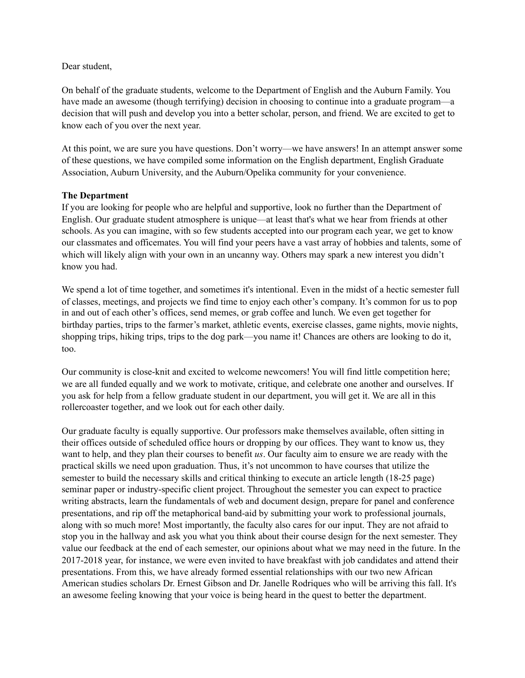## Dear student,

On behalf of the graduate students, welcome to the Department of English and the Auburn Family. You have made an awesome (though terrifying) decision in choosing to continue into a graduate program—a decision that will push and develop you into a better scholar, person, and friend. We are excited to get to know each of you over the next year.

At this point, we are sure you have questions. Don't worry—we have answers! In an attempt answer some of these questions, we have compiled some information on the English department, English Graduate Association, Auburn University, and the Auburn/Opelika community for your convenience.

## **The Department**

If you are looking for people who are helpful and supportive, look no further than the Department of English. Our graduate student atmosphere is unique—at least that's what we hear from friends at other schools. As you can imagine, with so few students accepted into our program each year, we get to know our classmates and officemates. You will find your peers have a vast array of hobbies and talents, some of which will likely align with your own in an uncanny way. Others may spark a new interest you didn't know you had.

We spend a lot of time together, and sometimes it's intentional. Even in the midst of a hectic semester full of classes, meetings, and projects we find time to enjoy each other's company. It's common for us to pop in and out of each other's offices, send memes, or grab coffee and lunch. We even get together for birthday parties, trips to the farmer's market, athletic events, exercise classes, game nights, movie nights, shopping trips, hiking trips, trips to the dog park—you name it! Chances are others are looking to do it, too.

Our community is close-knit and excited to welcome newcomers! You will find little competition here; we are all funded equally and we work to motivate, critique, and celebrate one another and ourselves. If you ask for help from a fellow graduate student in our department, you will get it. We are all in this rollercoaster together, and we look out for each other daily.

Our graduate faculty is equally supportive. Our professors make themselves available, often sitting in their offices outside of scheduled office hours or dropping by our offices. They want to know us, they want to help, and they plan their courses to benefit *us*. Our faculty aim to ensure we are ready with the practical skills we need upon graduation. Thus, it's not uncommon to have courses that utilize the semester to build the necessary skills and critical thinking to execute an article length (18-25 page) seminar paper or industry-specific client project. Throughout the semester you can expect to practice writing abstracts, learn the fundamentals of web and document design, prepare for panel and conference presentations, and rip off the metaphorical band-aid by submitting your work to professional journals, along with so much more! Most importantly, the faculty also cares for our input. They are not afraid to stop you in the hallway and ask you what you think about their course design for the next semester. They value our feedback at the end of each semester, our opinions about what we may need in the future. In the 2017-2018 year, for instance, we were even invited to have breakfast with job candidates and attend their presentations. From this, we have already formed essential relationships with our two new African American studies scholars Dr. Ernest Gibson and Dr. Janelle Rodriques who will be arriving this fall. It's an awesome feeling knowing that your voice is being heard in the quest to better the department.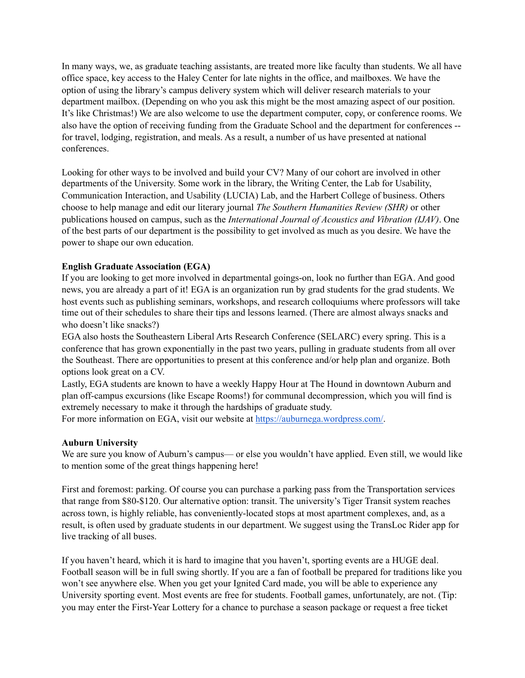In many ways, we, as graduate teaching assistants, are treated more like faculty than students. We all have office space, key access to the Haley Center for late nights in the office, and mailboxes. We have the option of using the library's campus delivery system which will deliver research materials to your department mailbox. (Depending on who you ask this might be the most amazing aspect of our position. It's like Christmas!) We are also welcome to use the department computer, copy, or conference rooms. We also have the option of receiving funding from the Graduate School and the department for conferences - for travel, lodging, registration, and meals. As a result, a number of us have presented at national conferences.

Looking for other ways to be involved and build your CV? Many of our cohort are involved in other departments of the University. Some work in the library, the Writing Center, the Lab for Usability, Communication Interaction, and Usability (LUCIA) Lab, and the Harbert College of business. Others choose to help manage and edit our literary journal *The Southern Humanities Review (SHR)* or other publications housed on campus, such as the *International Journal of Acoustics and Vibration (IJAV)*. One of the best parts of our department is the possibility to get involved as much as you desire. We have the power to shape our own education.

## **English Graduate Association (EGA)**

If you are looking to get more involved in departmental goings-on, look no further than EGA. And good news, you are already a part of it! EGA is an organization run by grad students for the grad students. We host events such as publishing seminars, workshops, and research colloquiums where professors will take time out of their schedules to share their tips and lessons learned. (There are almost always snacks and who doesn't like snacks?)

EGA also hosts the Southeastern Liberal Arts Research Conference (SELARC) every spring. This is a conference that has grown exponentially in the past two years, pulling in graduate students from all over the Southeast. There are opportunities to present at this conference and/or help plan and organize. Both options look great on a CV.

Lastly, EGA students are known to have a weekly Happy Hour at The Hound in downtown Auburn and plan off-campus excursions (like Escape Rooms!) for communal decompression, which you will find is extremely necessary to make it through the hardships of graduate study.

For more information on EGA, visit our website at<https://auburnega.wordpress.com/>.

#### **Auburn University**

We are sure you know of Auburn's campus— or else you wouldn't have applied. Even still, we would like to mention some of the great things happening here!

First and foremost: parking. Of course you can purchase a parking pass from the Transportation services that range from \$80-\$120. Our alternative option: transit. The university's Tiger Transit system reaches across town, is highly reliable, has conveniently-located stops at most apartment complexes, and, as a result, is often used by graduate students in our department. We suggest using the TransLoc Rider app for live tracking of all buses.

If you haven't heard, which it is hard to imagine that you haven't, sporting events are a HUGE deal. Football season will be in full swing shortly. If you are a fan of football be prepared for traditions like you won't see anywhere else. When you get your Ignited Card made, you will be able to experience any University sporting event. Most events are free for students. Football games, unfortunately, are not. (Tip: you may enter the First-Year Lottery for a chance to purchase a season package or request a free ticket